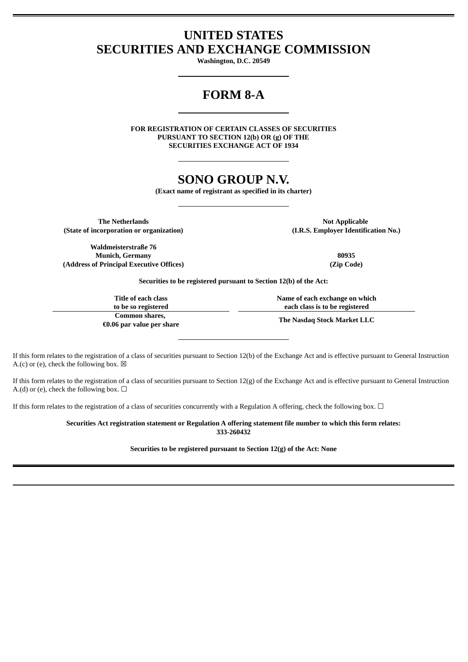## **UNITED STATES SECURITIES AND EXCHANGE COMMISSION**

**Washington, D.C. 20549**

# **FORM 8-A**

**FOR REGISTRATION OF CERTAIN CLASSES OF SECURITIES PURSUANT TO SECTION 12(b) OR (g) OF THE SECURITIES EXCHANGE ACT OF 1934**

## **SONO GROUP N.V.**

**(Exact name of registrant as specified in its charter)**

**The Netherlands Not Applicable (State of incorporation or organization) (I.R.S. Employer Identification No.)**

**Waldmeisterstraße 76 Munich, Germany 80935 (Address of Principal Executive Offices) (Zip Code)**

**Securities to be registered pursuant to Section 12(b) of the Act:**

**Title of each class to be so registered Common shares, €0.06 par value per share** **Name of each exchange on which each class is to be registered**

**The Nasdaq Stock Market LLC**

If this form relates to the registration of a class of securities pursuant to Section 12(b) of the Exchange Act and is effective pursuant to General Instruction A.(c) or (e), check the following box.  $\boxtimes$ 

If this form relates to the registration of a class of securities pursuant to Section 12(g) of the Exchange Act and is effective pursuant to General Instruction A.(d) or (e), check the following box.  $\Box$ 

If this form relates to the registration of a class of securities concurrently with a Regulation A offering, check the following box.  $\Box$ 

**Securities Act registration statement or Regulation A offering statement file number to which this form relates: 333-260432**

**Securities to be registered pursuant to Section 12(g) of the Act: None**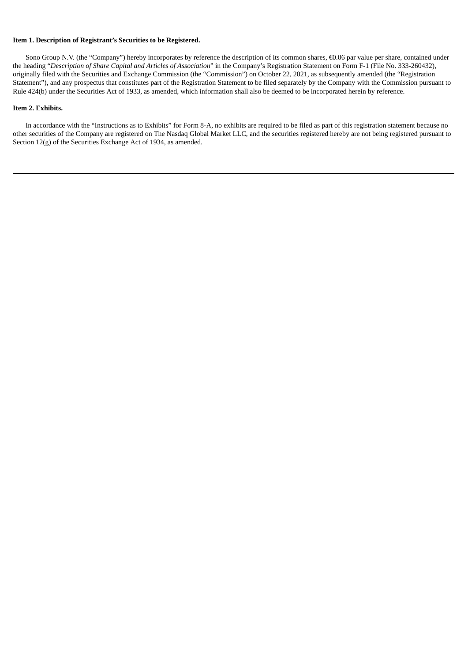#### **Item 1. Description of Registrant's Securities to be Registered.**

Sono Group N.V. (the "Company") hereby incorporates by reference the description of its common shares, €0.06 par value per share, contained under the heading "*Description of Share Capital and Articles of Association*" in the Company's Registration Statement on Form F-1 (File No. 333-260432), originally filed with the Securities and Exchange Commission (the "Commission") on October 22, 2021, as subsequently amended (the "Registration Statement"), and any prospectus that constitutes part of the Registration Statement to be filed separately by the Company with the Commission pursuant to Rule 424(b) under the Securities Act of 1933, as amended, which information shall also be deemed to be incorporated herein by reference.

#### **Item 2. Exhibits.**

In accordance with the "Instructions as to Exhibits" for Form 8-A, no exhibits are required to be filed as part of this registration statement because no other securities of the Company are registered on The Nasdaq Global Market LLC, and the securities registered hereby are not being registered pursuant to Section 12(g) of the Securities Exchange Act of 1934, as amended.